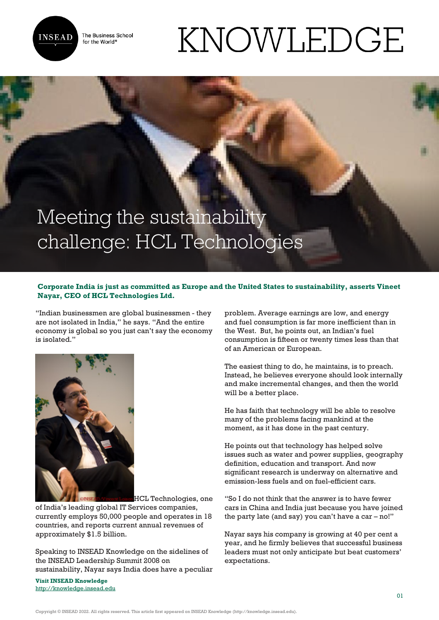

The Business School for the World<sup>®</sup>

## KNOWLEDGE

## Meeting the sustainability challenge: HCL Technologies

## **Corporate India is just as committed as Europe and the United States to sustainability, asserts Vineet Nayar, CEO of HCL Technologies Ltd.**

"Indian businessmen are global businessmen - they are not isolated in India," he says. "And the entire economy is global so you just can't say the economy is isolated."



HCL Technologies, one

of India's leading global IT Services companies, currently employs 50,000 people and operates in 18 countries, and reports current annual revenues of approximately \$1.5 billion.

Speaking to INSEAD Knowledge on the sidelines of the INSEAD Leadership Summit 2008 on sustainability, Nayar says India does have a peculiar

**Visit INSEAD Knowledge** <http://knowledge.insead.edu> problem. Average earnings are low, and energy and fuel consumption is far more inefficient than in the West. But, he points out, an Indian's fuel consumption is fifteen or twenty times less than that of an American or European.

The easiest thing to do, he maintains, is to preach. Instead, he believes everyone should look internally and make incremental changes, and then the world will be a better place.

He has faith that technology will be able to resolve many of the problems facing mankind at the moment, as it has done in the past century.

He points out that technology has helped solve issues such as water and power supplies, geography definition, education and transport. And now significant research is underway on alternative and emission-less fuels and on fuel-efficient cars.

"So I do not think that the answer is to have fewer cars in China and India just because you have joined the party late (and say) you can't have a car – no!"

Nayar says his company is growing at 40 per cent a year, and he firmly believes that successful business leaders must not only anticipate but beat customers' expectations.

Copyright © INSEAD 2022. All rights reserved. This article first appeared on INSEAD Knowledge (http://knowledge.insead.edu).